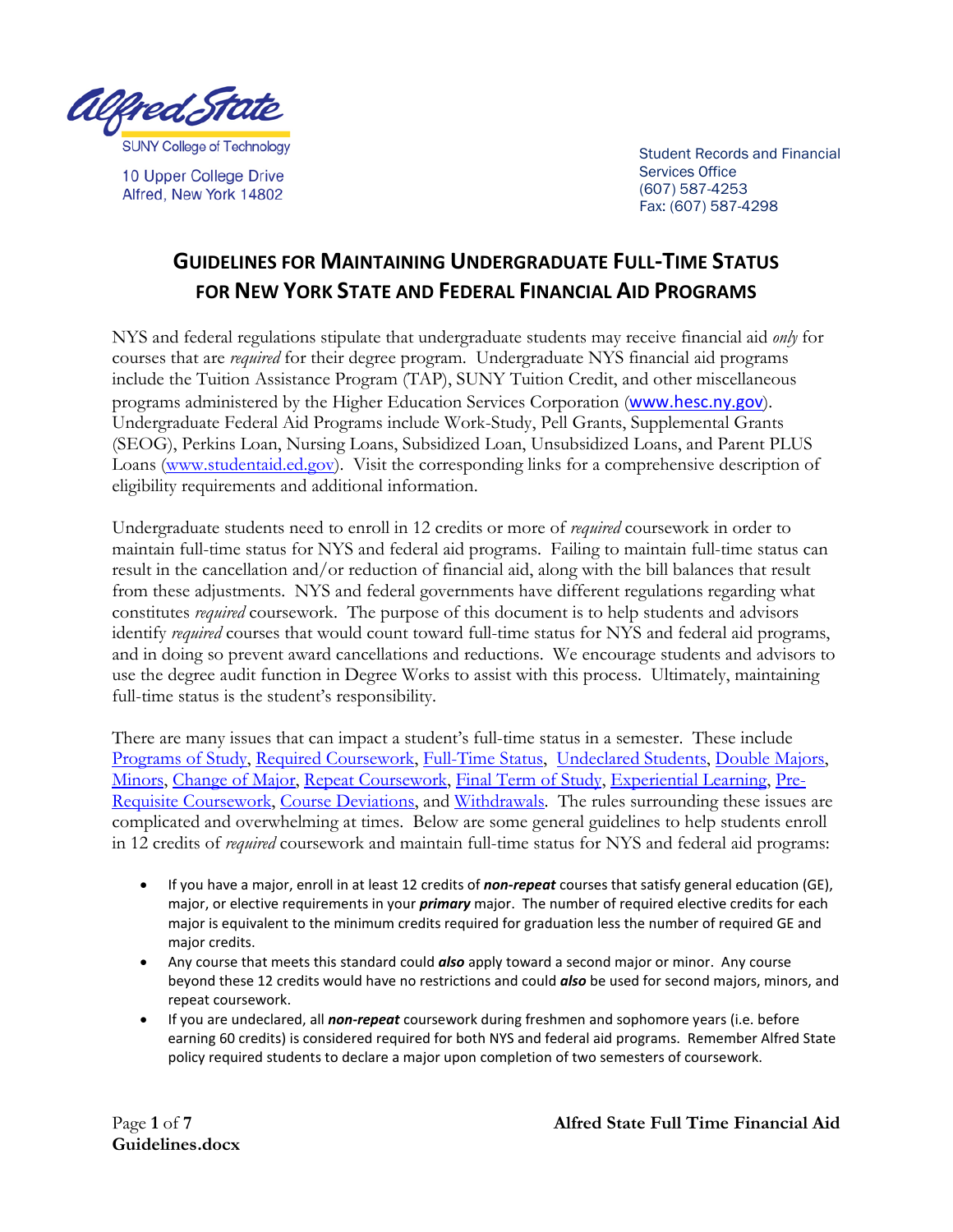

10 Upper College Drive Alfred, New York 14802

Student Records and Financial Services Office (607) 587-4253 Fax: (607) 587-4298

# **GUIDELINES FOR MAINTAINING UNDERGRADUATE FULL-TIME STATUS FOR NEW YORK STATE AND FEDERAL FINANCIAL AID PROGRAMS**

NYS and federal regulations stipulate that undergraduate students may receive financial aid *only* for courses that are *required* for their degree program. Undergraduate NYS financial aid programs include the Tuition Assistance Program (TAP), SUNY Tuition Credit, and other miscellaneous programs administered by the Higher Education Services Corporation ([www.hesc.ny.gov](http://www.hesc.ny.gov/)). Undergraduate Federal Aid Programs include Work-Study, Pell Grants, Supplemental Grants (SEOG), Perkins Loan, Nursing Loans, Subsidized Loan, Unsubsidized Loans, and Parent PLUS Loans [\(www.studentaid.ed.gov\)](http://www.studentaid.ed.gov/). Visit the corresponding links for a comprehensive description of eligibility requirements and additional information.

Undergraduate students need to enroll in 12 credits or more of *required* coursework in order to maintain full-time status for NYS and federal aid programs. Failing to maintain full-time status can result in the cancellation and/or reduction of financial aid, along with the bill balances that result from these adjustments. NYS and federal governments have different regulations regarding what constitutes *required* coursework. The purpose of this document is to help students and advisors identify *required* courses that would count toward full-time status for NYS and federal aid programs, and in doing so prevent award cancellations and reductions. We encourage students and advisors to use the degree audit function in Degree Works to assist with this process. Ultimately, maintaining full-time status is the student's responsibility.

There are many issues that can impact a student's full-time status in a semester. These include [Programs of Study,](#page-1-0) [Required Coursework,](#page-1-1) [Full-Time Status,](#page-1-2) [Undeclared Students,](#page-2-0) [Double Majors,](#page-2-1) [Minors,](#page-3-0) [Change of Major,](#page-3-1) [Repeat Coursework,](#page-4-0) [Final Term of Study,](#page-4-1) [Experiential Learning,](#page-5-0) [Pre-](#page-5-1)[Requisite Coursework,](#page-5-1) [Course Deviations,](#page-5-2) and [Withdrawals.](#page-6-0) The rules surrounding these issues are complicated and overwhelming at times. Below are some general guidelines to help students enroll in 12 credits of *required* coursework and maintain full-time status for NYS and federal aid programs:

- If you have a major, enroll in at least 12 credits of *non-repeat* courses that satisfy general education (GE), major, or elective requirements in your *primary* major. The number of required elective credits for each major is equivalent to the minimum credits required for graduation less the number of required GE and major credits.
- Any course that meets this standard could *also* apply toward a second major or minor. Any course beyond these 12 credits would have no restrictions and could *also* be used for second majors, minors, and repeat coursework.
- If you are undeclared, all *non-repeat* coursework during freshmen and sophomore years (i.e. before earning 60 credits) is considered required for both NYS and federal aid programs. Remember Alfred State policy required students to declare a major upon completion of two semesters of coursework.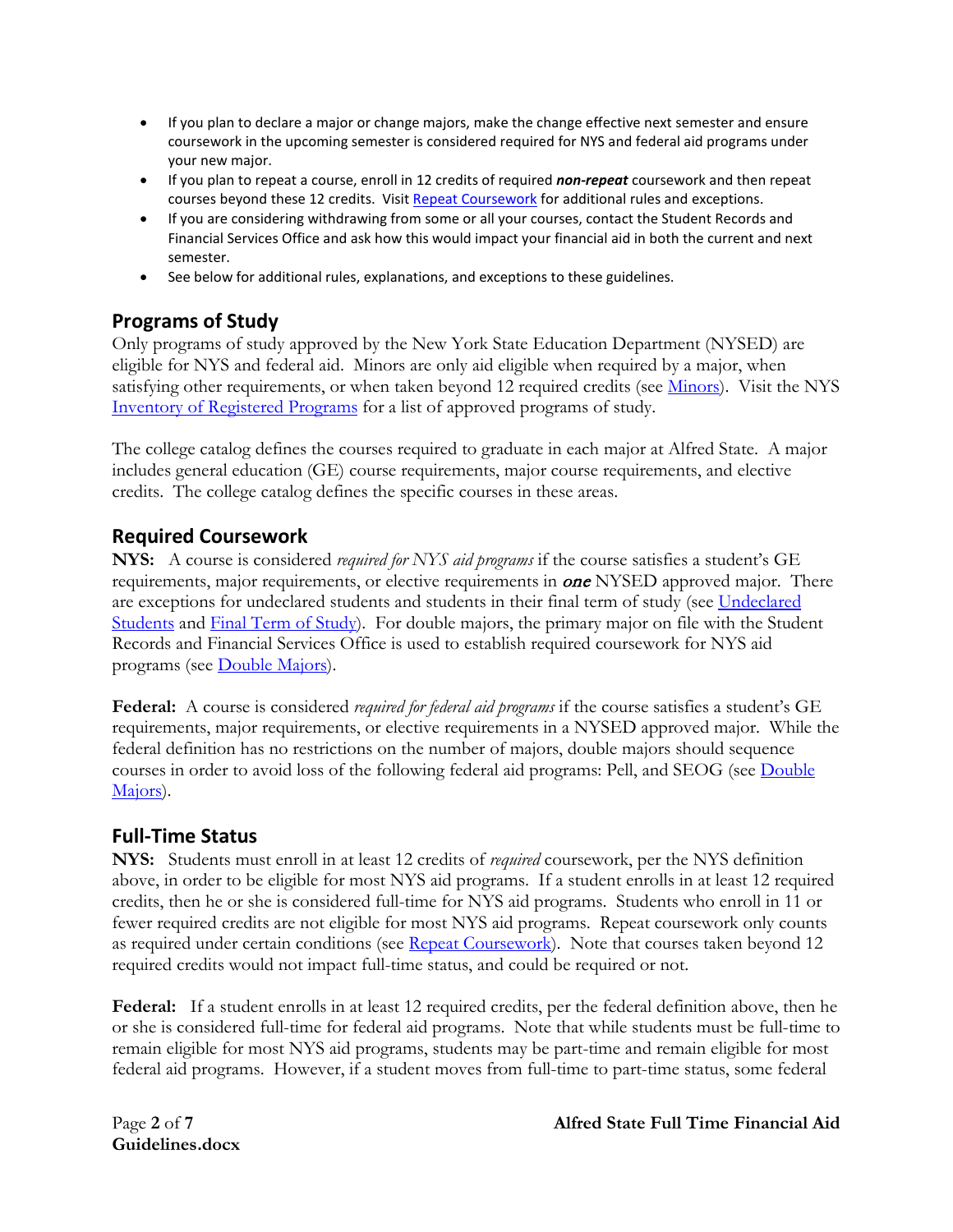- If you plan to declare a major or change majors, make the change effective next semester and ensure coursework in the upcoming semester is considered required for NYS and federal aid programs under your new major.
- If you plan to repeat a course, enroll in 12 credits of required *non-repeat* coursework and then repeat courses beyond these 12 credits. Visi[t Repeat Coursework](#page-4-0) for additional rules and exceptions.
- If you are considering withdrawing from some or all your courses, contact the Student Records and Financial Services Office and ask how this would impact your financial aid in both the current and next semester.
- See below for additional rules, explanations, and exceptions to these guidelines.

# <span id="page-1-0"></span>**Programs of Study**

Only programs of study approved by the New York State Education Department (NYSED) are eligible for NYS and federal aid. Minors are only aid eligible when required by a major, when satisfying other requirements, or when taken beyond 12 required credits (see [Minors\)](#page-3-0). Visit the NYS [Inventory of Registered Programs](http://www.nysed.gov/heds/IRPSL1.html) for a list of approved programs of study.

The college catalog defines the courses required to graduate in each major at Alfred State. A major includes general education (GE) course requirements, major course requirements, and elective credits. The college catalog defines the specific courses in these areas.

### <span id="page-1-1"></span>**Required Coursework**

**NYS:** A course is considered *required for NYS aid programs* if the course satisfies a student's GE requirements, major requirements, or elective requirements in **one** NYSED approved major. There are exceptions for undeclared students and students in their final term of study (see Undeclared [Students](#page-2-0) and Final Term of Study). For double majors, the primary major on file with the Student Records and Financial Services Office is used to establish required coursework for NYS aid programs (see [Double Majors\)](#page-2-1).

**Federal:** A course is considered *required for federal aid programs* if the course satisfies a student's GE requirements, major requirements, or elective requirements in a NYSED approved major. While the federal definition has no restrictions on the number of majors, double majors should sequence courses in order to avoid loss of the following federal aid programs: Pell, and SEOG (see [Double](#page-2-1)  [Majors\)](#page-2-1).

### <span id="page-1-2"></span>**Full-Time Status**

**NYS:** Students must enroll in at least 12 credits of *required* coursework, per the NYS definition above, in order to be eligible for most NYS aid programs. If a student enrolls in at least 12 required credits, then he or she is considered full-time for NYS aid programs. Students who enroll in 11 or fewer required credits are not eligible for most NYS aid programs. Repeat coursework only counts as required under certain conditions (see [Repeat Coursework\)](#page-4-0). Note that courses taken beyond 12 required credits would not impact full-time status, and could be required or not.

**Federal:** If a student enrolls in at least 12 required credits, per the federal definition above, then he or she is considered full-time for federal aid programs. Note that while students must be full-time to remain eligible for most NYS aid programs, students may be part-time and remain eligible for most federal aid programs. However, if a student moves from full-time to part-time status, some federal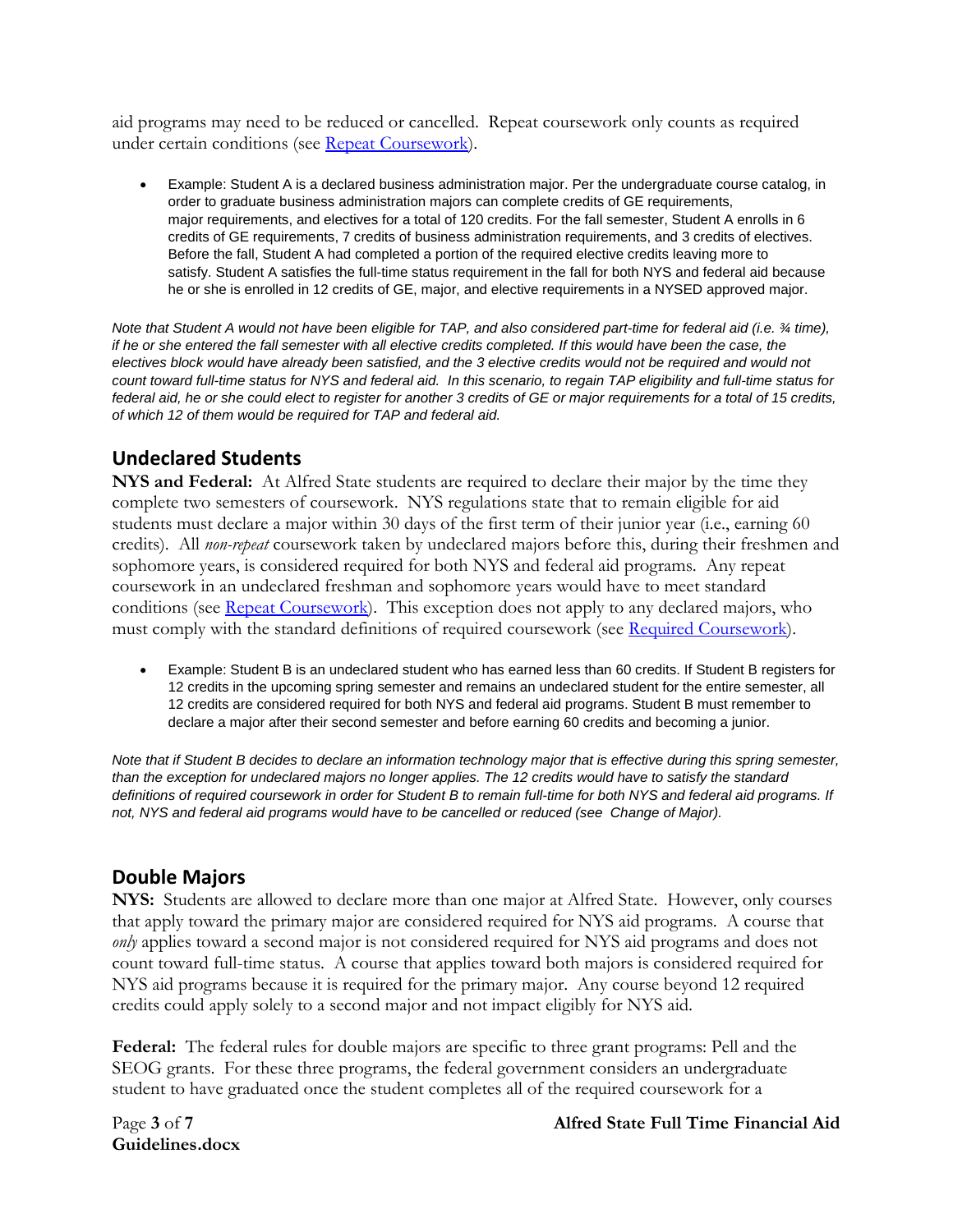aid programs may need to be reduced or cancelled. Repeat coursework only counts as required under certain conditions (see [Repeat Coursework\)](#page-4-0).

• Example: Student A is a declared business administration major. Per the undergraduate course catalog, in order to graduate business administration majors can complete credits of GE requirements, major requirements, and electives for a total of 120 credits. For the fall semester, Student A enrolls in 6 credits of GE requirements, 7 credits of business administration requirements, and 3 credits of electives. Before the fall, Student A had completed a portion of the required elective credits leaving more to satisfy. Student A satisfies the full-time status requirement in the fall for both NYS and federal aid because he or she is enrolled in 12 credits of GE, major, and elective requirements in a NYSED approved major.

*Note that Student A would not have been eligible for TAP, and also considered part-time for federal aid (i.e. ¾ time), if he or she entered the fall semester with all elective credits completed. If this would have been the case, the electives block would have already been satisfied, and the 3 elective credits would not be required and would not count toward full-time status for NYS and federal aid. In this scenario, to regain TAP eligibility and full-time status for federal aid, he or she could elect to register for another 3 credits of GE or major requirements for a total of 15 credits, of which 12 of them would be required for TAP and federal aid.*

# <span id="page-2-0"></span>**Undeclared Students**

**NYS and Federal:** At Alfred State students are required to declare their major by the time they complete two semesters of coursework. NYS regulations state that to remain eligible for aid students must declare a major within 30 days of the first term of their junior year (i.e., earning 60 credits). All *non-repeat* coursework taken by undeclared majors before this, during their freshmen and sophomore years, is considered required for both NYS and federal aid programs. Any repeat coursework in an undeclared freshman and sophomore years would have to meet standard conditions (see [Repeat Coursework\)](#page-4-0). This exception does not apply to any declared majors, who must comply with the standard definitions of required coursework (see [Required Coursework\)](#page-1-1).

• Example: Student B is an undeclared student who has earned less than 60 credits. If Student B registers for 12 credits in the upcoming spring semester and remains an undeclared student for the entire semester, all 12 credits are considered required for both NYS and federal aid programs. Student B must remember to declare a major after their second semester and before earning 60 credits and becoming a junior.

*Note that if Student B decides to declare an information technology major that is effective during this spring semester, than the exception for undeclared majors no longer applies. The 12 credits would have to satisfy the standard definitions of required coursework in order for Student B to remain full-time for both NYS and federal aid programs. If not, NYS and federal aid programs would have to be cancelled or reduced (see Change of Major).*

### <span id="page-2-1"></span>**Double Majors**

**NYS:** Students are allowed to declare more than one major at Alfred State. However, only courses that apply toward the primary major are considered required for NYS aid programs. A course that *only* applies toward a second major is not considered required for NYS aid programs and does not count toward full-time status. A course that applies toward both majors is considered required for NYS aid programs because it is required for the primary major. Any course beyond 12 required credits could apply solely to a second major and not impact eligibly for NYS aid.

**Federal:** The federal rules for double majors are specific to three grant programs: Pell and the SEOG grants. For these three programs, the federal government considers an undergraduate student to have graduated once the student completes all of the required coursework for a

**Guidelines.docx**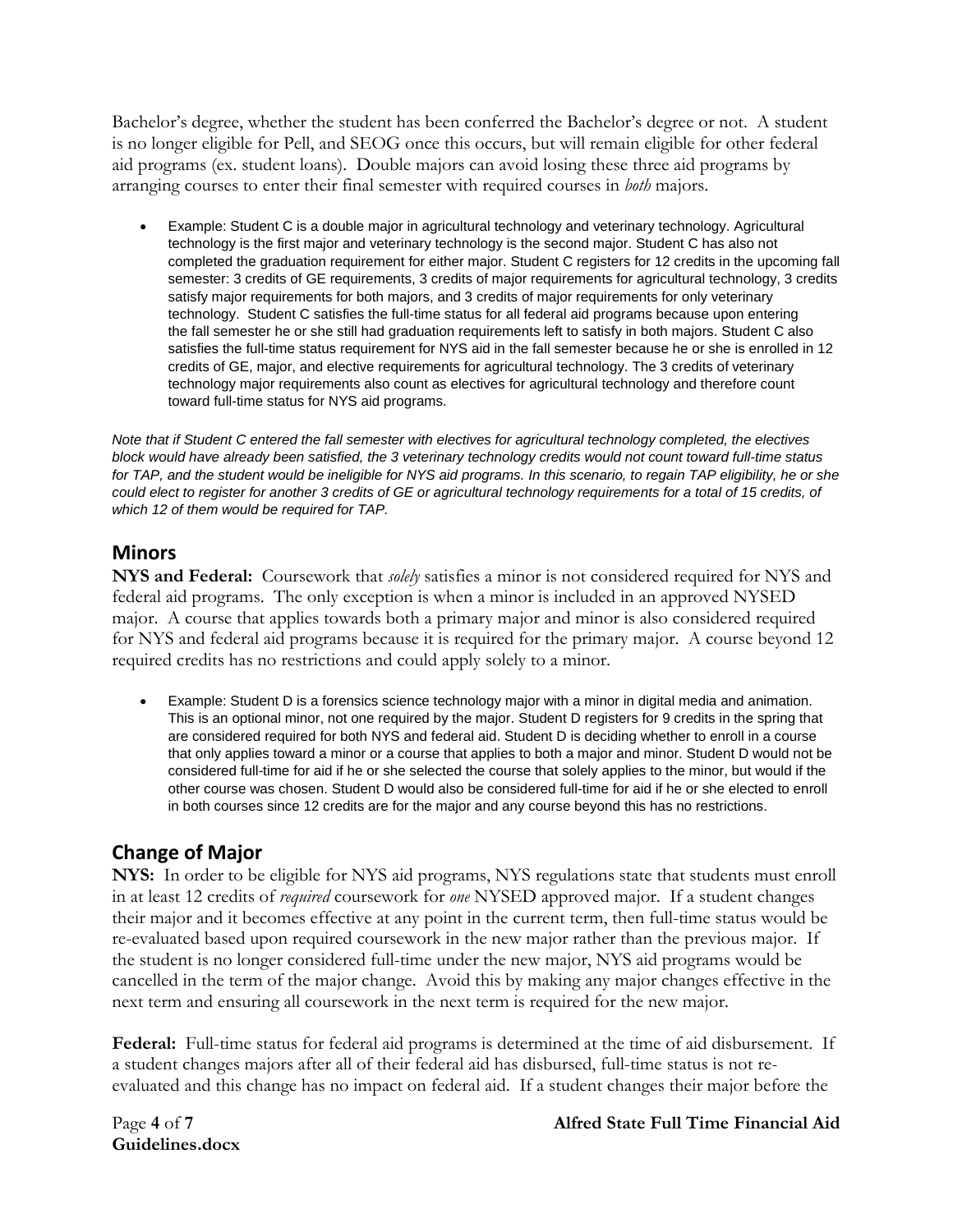Bachelor's degree, whether the student has been conferred the Bachelor's degree or not. A student is no longer eligible for Pell, and SEOG once this occurs, but will remain eligible for other federal aid programs (ex. student loans). Double majors can avoid losing these three aid programs by arranging courses to enter their final semester with required courses in *both* majors.

• Example: Student C is a double major in agricultural technology and veterinary technology. Agricultural technology is the first major and veterinary technology is the second major. Student C has also not completed the graduation requirement for either major. Student C registers for 12 credits in the upcoming fall semester: 3 credits of GE requirements, 3 credits of major requirements for agricultural technology, 3 credits satisfy major requirements for both majors, and 3 credits of major requirements for only veterinary technology. Student C satisfies the full-time status for all federal aid programs because upon entering the fall semester he or she still had graduation requirements left to satisfy in both majors. Student C also satisfies the full-time status requirement for NYS aid in the fall semester because he or she is enrolled in 12 credits of GE, major, and elective requirements for agricultural technology. The 3 credits of veterinary technology major requirements also count as electives for agricultural technology and therefore count toward full-time status for NYS aid programs.

*Note that if Student C entered the fall semester with electives for agricultural technology completed, the electives block would have already been satisfied, the 3 veterinary technology credits would not count toward full-time status for TAP, and the student would be ineligible for NYS aid programs. In this scenario, to regain TAP eligibility, he or she could elect to register for another 3 credits of GE or agricultural technology requirements for a total of 15 credits, of which 12 of them would be required for TAP.*

### <span id="page-3-0"></span>**Minors**

**NYS and Federal:** Coursework that *solely* satisfies a minor is not considered required for NYS and federal aid programs. The only exception is when a minor is included in an approved NYSED major. A course that applies towards both a primary major and minor is also considered required for NYS and federal aid programs because it is required for the primary major. A course beyond 12 required credits has no restrictions and could apply solely to a minor.

• Example: Student D is a forensics science technology major with a minor in digital media and animation. This is an optional minor, not one required by the major. Student D registers for 9 credits in the spring that are considered required for both NYS and federal aid. Student D is deciding whether to enroll in a course that only applies toward a minor or a course that applies to both a major and minor. Student D would not be considered full-time for aid if he or she selected the course that solely applies to the minor, but would if the other course was chosen. Student D would also be considered full-time for aid if he or she elected to enroll in both courses since 12 credits are for the major and any course beyond this has no restrictions.

# <span id="page-3-1"></span>**Change of Major**

**NYS:** In order to be eligible for NYS aid programs, NYS regulations state that students must enroll in at least 12 credits of *required* coursework for *one* NYSED approved major. If a student changes their major and it becomes effective at any point in the current term, then full-time status would be re-evaluated based upon required coursework in the new major rather than the previous major. If the student is no longer considered full-time under the new major, NYS aid programs would be cancelled in the term of the major change. Avoid this by making any major changes effective in the next term and ensuring all coursework in the next term is required for the new major.

**Federal:** Full-time status for federal aid programs is determined at the time of aid disbursement. If a student changes majors after all of their federal aid has disbursed, full-time status is not reevaluated and this change has no impact on federal aid. If a student changes their major before the

**Guidelines.docx**

#### Page **4** of **7 Alfred State Full Time Financial Aid**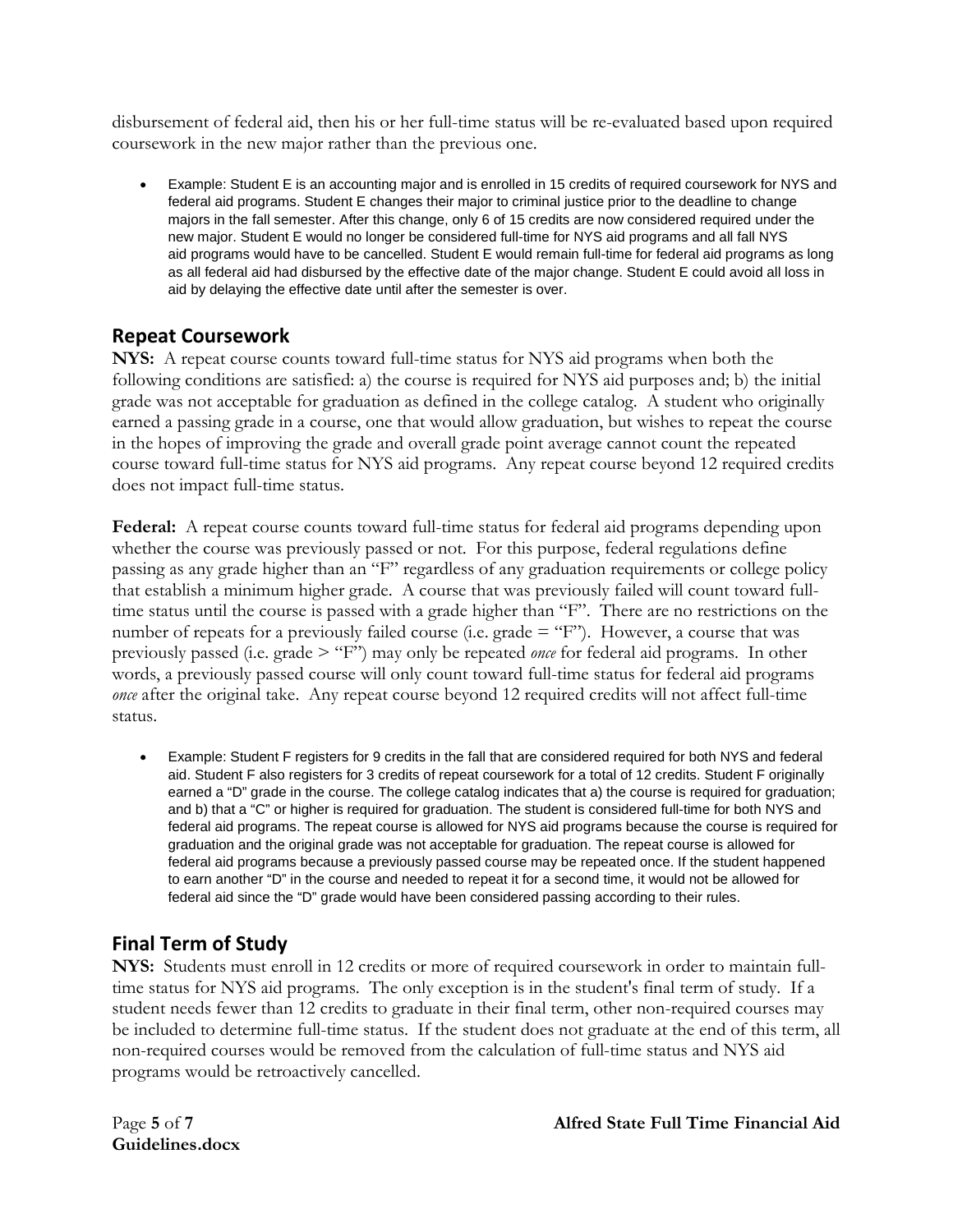disbursement of federal aid, then his or her full-time status will be re-evaluated based upon required coursework in the new major rather than the previous one.

• Example: Student E is an accounting major and is enrolled in 15 credits of required coursework for NYS and federal aid programs. Student E changes their major to criminal justice prior to the deadline to change majors in the fall semester. After this change, only 6 of 15 credits are now considered required under the new major. Student E would no longer be considered full-time for NYS aid programs and all fall NYS aid programs would have to be cancelled. Student E would remain full-time for federal aid programs as long as all federal aid had disbursed by the effective date of the major change. Student E could avoid all loss in aid by delaying the effective date until after the semester is over.

# <span id="page-4-0"></span>**Repeat Coursework**

**NYS:** A repeat course counts toward full-time status for NYS aid programs when both the following conditions are satisfied: a) the course is required for NYS aid purposes and; b) the initial grade was not acceptable for graduation as defined in the college catalog. A student who originally earned a passing grade in a course, one that would allow graduation, but wishes to repeat the course in the hopes of improving the grade and overall grade point average cannot count the repeated course toward full-time status for NYS aid programs. Any repeat course beyond 12 required credits does not impact full-time status.

**Federal:** A repeat course counts toward full-time status for federal aid programs depending upon whether the course was previously passed or not. For this purpose, federal regulations define passing as any grade higher than an "F" regardless of any graduation requirements or college policy that establish a minimum higher grade. A course that was previously failed will count toward fulltime status until the course is passed with a grade higher than "F". There are no restrictions on the number of repeats for a previously failed course (i.e. grade = "F"). However, a course that was previously passed (i.e. grade > "F") may only be repeated *once* for federal aid programs. In other words, a previously passed course will only count toward full-time status for federal aid programs *once* after the original take. Any repeat course beyond 12 required credits will not affect full-time status.

• Example: Student F registers for 9 credits in the fall that are considered required for both NYS and federal aid. Student F also registers for 3 credits of repeat coursework for a total of 12 credits. Student F originally earned a "D" grade in the course. The college catalog indicates that a) the course is required for graduation; and b) that a "C" or higher is required for graduation. The student is considered full-time for both NYS and federal aid programs. The repeat course is allowed for NYS aid programs because the course is required for graduation and the original grade was not acceptable for graduation. The repeat course is allowed for federal aid programs because a previously passed course may be repeated once. If the student happened to earn another "D" in the course and needed to repeat it for a second time, it would not be allowed for federal aid since the "D" grade would have been considered passing according to their rules.

# <span id="page-4-1"></span>**Final Term of Study**

**NYS:** Students must enroll in 12 credits or more of required coursework in order to maintain fulltime status for NYS aid programs. The only exception is in the student's final term of study. If a student needs fewer than 12 credits to graduate in their final term, other non-required courses may be included to determine full-time status. If the student does not graduate at the end of this term, all non-required courses would be removed from the calculation of full-time status and NYS aid programs would be retroactively cancelled.

**Guidelines.docx**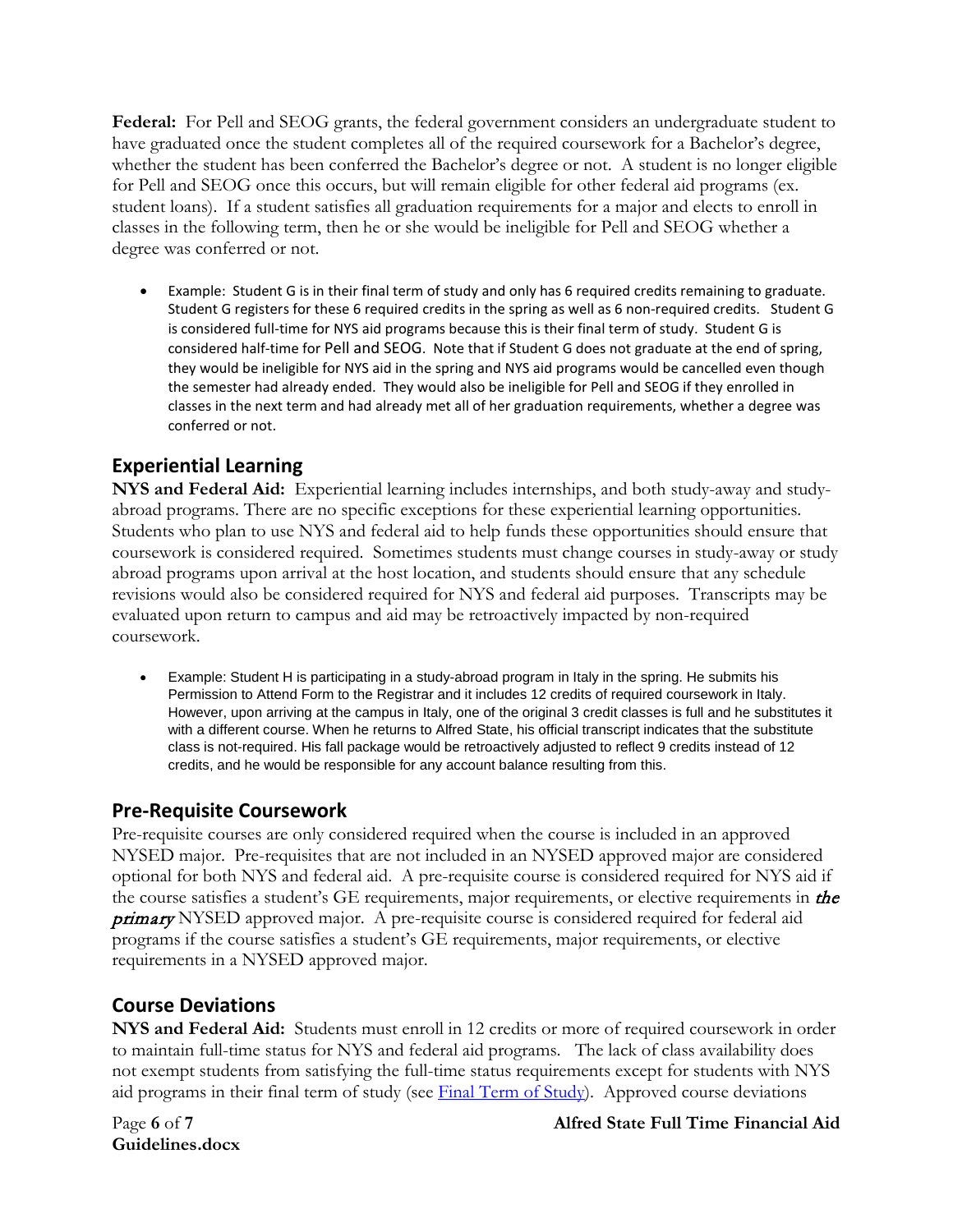**Federal:** For Pell and SEOG grants, the federal government considers an undergraduate student to have graduated once the student completes all of the required coursework for a Bachelor's degree, whether the student has been conferred the Bachelor's degree or not. A student is no longer eligible for Pell and SEOG once this occurs, but will remain eligible for other federal aid programs (ex. student loans). If a student satisfies all graduation requirements for a major and elects to enroll in classes in the following term, then he or she would be ineligible for Pell and SEOG whether a degree was conferred or not.

• Example: Student G is in their final term of study and only has 6 required credits remaining to graduate. Student G registers for these 6 required credits in the spring as well as 6 non-required credits. Student G is considered full-time for NYS aid programs because this is their final term of study. Student G is considered half-time for Pell and SEOG. Note that if Student G does not graduate at the end of spring, they would be ineligible for NYS aid in the spring and NYS aid programs would be cancelled even though the semester had already ended. They would also be ineligible for Pell and SEOG if they enrolled in classes in the next term and had already met all of her graduation requirements, whether a degree was conferred or not.

# <span id="page-5-0"></span>**Experiential Learning**

**NYS and Federal Aid:** Experiential learning includes internships, and both study-away and studyabroad programs. There are no specific exceptions for these experiential learning opportunities. Students who plan to use NYS and federal aid to help funds these opportunities should ensure that coursework is considered required. Sometimes students must change courses in study-away or study abroad programs upon arrival at the host location, and students should ensure that any schedule revisions would also be considered required for NYS and federal aid purposes. Transcripts may be evaluated upon return to campus and aid may be retroactively impacted by non-required coursework.

• Example: Student H is participating in a study-abroad program in Italy in the spring. He submits his Permission to Attend Form to the Registrar and it includes 12 credits of required coursework in Italy. However, upon arriving at the campus in Italy, one of the original 3 credit classes is full and he substitutes it with a different course. When he returns to Alfred State, his official transcript indicates that the substitute class is not-required. His fall package would be retroactively adjusted to reflect 9 credits instead of 12 credits, and he would be responsible for any account balance resulting from this.

### <span id="page-5-1"></span>**Pre-Requisite Coursework**

Pre-requisite courses are only considered required when the course is included in an approved NYSED major. Pre-requisites that are not included in an NYSED approved major are considered optional for both NYS and federal aid. A pre-requisite course is considered required for NYS aid if the course satisfies a student's GE requirements, major requirements, or elective requirements in the **primary** NYSED approved major. A pre-requisite course is considered required for federal aid programs if the course satisfies a student's GE requirements, major requirements, or elective requirements in a NYSED approved major.

### <span id="page-5-2"></span>**Course Deviations**

**NYS and Federal Aid:** Students must enroll in 12 credits or more of required coursework in order to maintain full-time status for NYS and federal aid programs. The lack of class availability does not exempt students from satisfying the full-time status requirements except for students with NYS aid programs in their final term of study (see Final Term of Study). Approved course deviations

**Guidelines.docx**

Page **6** of **7 Alfred State Full Time Financial Aid**